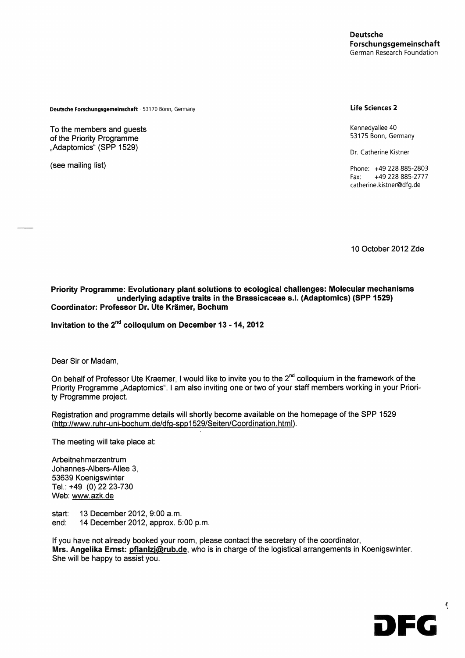**Deutsche Forschungsgemeinschaft** 53170 Bonn, Germany **Life Sciences 2**

To the members and guests **To the members and guests** Kennedyallee 40 **of the Priority Programme Adaptomics** K (SPP 1529) " ,... , ... , ... , ... , ... , ... , ... , ... , ... , ... , ... , ... , ... , ... , ... , ... , ... , ... , ... , ... , ... , ... , ... , ... , ... , ... , ... , ... , ... , ... , ... , ... , .

53175 Bonn< Germanv

(see mailing list) **phone:** +49 228 885-2803 Fax: +49 228 885-2777 catherine.kistner@dfg.de

10 October 2012 Zde

**Priority Programme: Evolutionary plant solutions to ecological challenges: Molecuiar mechanisms underiying adaptive traits in the Brassicaceae s.L (Adaptomics) (SPP 1529) Coordinator; Professor Dr. Ute Krämer, Bochum**

**Irsvitation to the** 2nd  **coiloquium on December 13-14,2012**

Dear Sir or Madam,

On behalf of Professor Ute Kraemer, I would like to invite you to the 2<sup>nd</sup> colloquium in the framework of the Priority Programme "Adaptomics". I am also inviting one or two of your staff members working in your Priority Programme project

Registration and programme details will shortly become available on the homepage of the SPP 1529 (http://www.ruhr~uni-bochum.de/dfg~spp1529/Seiten/Coordination.html).

The meeting will take place at:

Arbeitnehmerzentrum Johannes-Albers-Allee 3, 53639 Koenigswinter Tel.: +49 (0) 22 23-730 Web: www.azk.de

Start: 13 December 2012, 9:00 a.m. end: 14 December 2012, approx. 5:00 p.m.

If you have not already booked your room, please contact the secretary of the coordinator, Mrs. Angelika Ernst: pflanlzj@rub.de, who is in charge of the logistical arrangements in Koenigswinter. She will be happy to assist you.